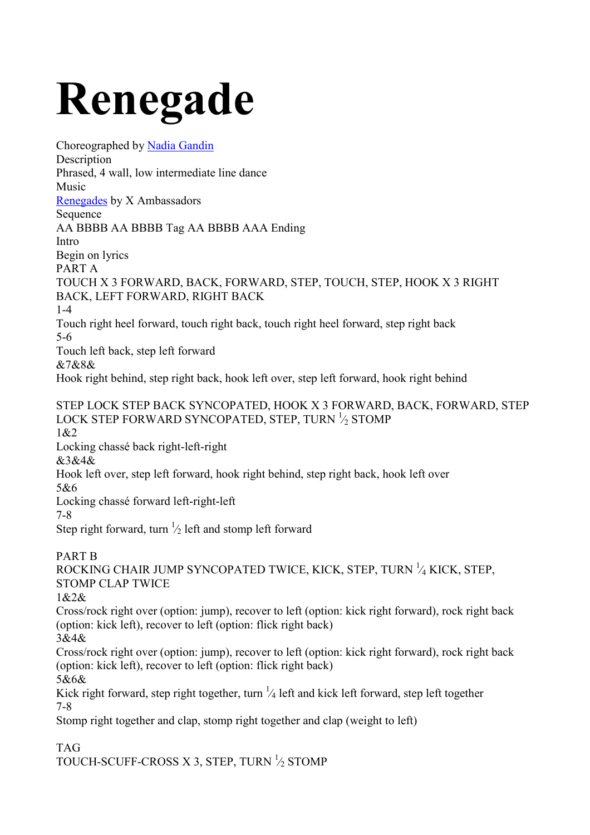## **Renegade**

Choreographed by Nadia Gandin Description Phrased, 4 wall, low intermediate line dance Music Renegades by X Ambassadors Sequence AA BBBB AA BBBB Tag AA BBBB AAA Ending Intro Begin on lyrics PART A TOUCH X 3 FORWARD, BACK, FORWARD, STEP, TOUCH, STEP, HOOK X 3 RIGHT BACK, LEFT FORWARD, RIGHT BACK 1-4 Touch right heel forward, touch right back, touch right heel forward, step right back 5-6 Touch left back, step left forward &7&8& Hook right behind, step right back, hook left over, step left forward, hook right behind STEP LOCK STEP BACK SYNCOPATED, HOOK X 3 FORWARD, BACK, FORWARD, STEP LOCK STEP FORWARD SYNCOPATED, STEP, TURN  $\frac{1}{2}$  STOMP 1&2 Locking chassé back right-left-right &3&4& Hook left over, step left forward, hook right behind, step right back, hook left over 5&6 Locking chassé forward left-right-left 7-8 Step right forward, turn  $\frac{1}{2}$  left and stomp left forward PART B ROCKING CHAIR JUMP SYNCOPATED TWICE, KICK, STEP, TURN <sup>1</sup> ⁄4 KICK, STEP, STOMP CLAP TWICE 1&2& Cross/rock right over (option: jump), recover to left (option: kick right forward), rock right back (option: kick left), recover to left (option: flick right back) 3&4& Cross/rock right over (option: jump), recover to left (option: kick right forward), rock right back (option: kick left), recover to left (option: flick right back) 5&6& Kick right forward, step right together, turn  $\frac{1}{4}$  left and kick left forward, step left together 7-8 Stomp right together and clap, stomp right together and clap (weight to left) TAG

TOUCH-SCUFF-CROSS X 3, STEP, TURN  $\frac{1}{2}$  STOMP